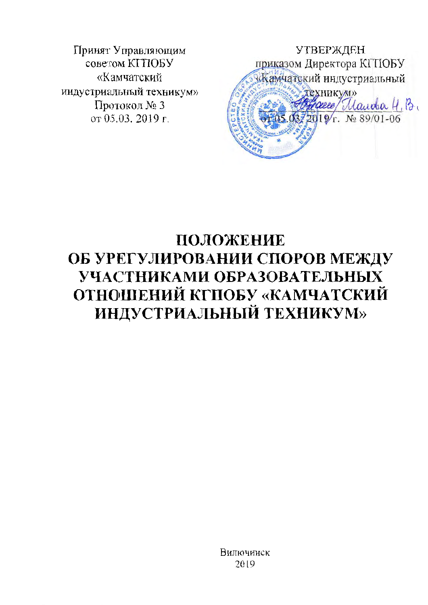Принят Управляющим советом КГПОБУ «Камчатский индустриальный техникум» Протокол № 3 от 05.03. 2019 г.

**УТВЕРЖДЕН** приказом Директора КГПОБУ «Камчатский индустриальный **HKVMD** Maurola H. B.  $\frac{6}{r}$  No 89/01-06

# ПОЛОЖЕНИЕ ОБ УРЕГУЛИРОВАНИИ СПОРОВ МЕЖДУ УЧАСТНИКАМИ ОБРАЗОВАТЕЛЬНЫХ ОТНОШЕНИЙ КГПОБУ «КАМЧАТСКИЙ ИНДУСТРИАЛЬНЫЙ ТЕХНИКУМ»

Вилючинск 2019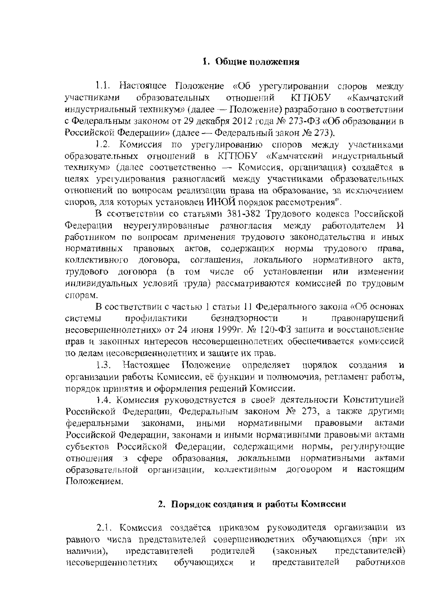1.1. Настоящее Положение «Об урегулировании споров между образовательных участниками отношений КГПОБУ «Камчатский индустриальный техникум» (далее - Положение) разработано в соответствии с Федеральным законом от 29 декабря 2012 года № 273-ФЗ «Об образовании в Российской Федерации» (далее — Федеральный закон № 273).

1.2. Комиссия по урегулированию споров между участниками образовательных отношений в КГПОБУ «Камчатский индустриальный техникум» (далее соответственно - Комиссия, организация) создаётся в целях урегулирования разногласий между участниками образовательных отношений по вопросам реализации права на образование, за исключением споров, для которых установлен ИНОЙ порядок рассмотрения".

В соответствии со статьями 381-382 Трудового кодекса Российской неурегулированные разногласия между работодателем Федерации И работником по вопросам применения трудового законодательства и иных нормативных правовых актов, содержащих нормы трудового права, коллективного договора, соглащения, локального нормативного акта, трудового договора (в том числе об установлении или изменении индивидуальных условий труда) рассматриваются комиссией по трудовым спорам.

В состветствии с частью 1 статьи 11 Федерального закона «Об основах профилактики безнадзорности системы И правонарушений несоверщеннолетних» от 24 июня 1999г. № 120-ФЗ защита и восстановление прав и законных интересов несовершеннолетних обеспечивается комиссией по делам несовершеннолетних и защите их прав.

1.3. Настоящее Положение определяет порядок создания N организации работы Комиссии, её функции и полномочия, регламент работы, порядок принятия и оформления решений Комиссии.

1.4. Комиссия руководствуется в своей деятельности Конституцией Российской Федерации, Федеральным законом № 273, а также другими федеральными законами. нормативными иными правовыми актами Российской Федерации, законами и иными нормативными правовыми актами субъектов Российской Федерации, содержащими нормы, регулирующие отношения э сфере образования, локальными нормативными актами образовательной организации, коллективным договором И настояшим Положением.

## 2. Порядок создания и работы Комиссии

2.1. Комиссия создаётся приказом руководителя организации из равного числа представителей соверщеннолетних обучающихся (при их представителей родителей (законных представителей) наличии). несовершеннолетних обучающихся представителей работников И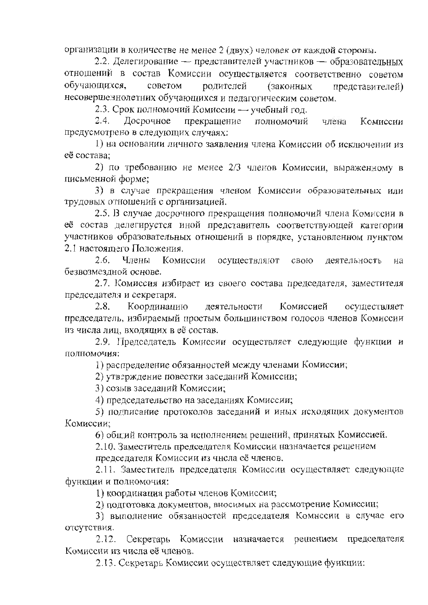организации в количестве не менее 2 (двух) человек от каждой стороны.

2.2. Делегирование — представителей участников — образовательных отношений в состав Комиссии осуществляется соответственно советом обучающихся. родителей советом (законных представителей) несоверше чнолетних обучающихся и педагогическим советом.

2.3. Срок полномочий Комиссии - учебный год.

Досрочное  $2.4.$ прекращение полномочий члена Комиссии предусмотрено в следующих случаях:

1) на основании личного заявления члена Комиссии об исключении из её состава:

2) по требованию не менее 2/3 членов Комиссии, выраженному в письменной форме:

3) в случае прекращения членом Комиссии образовательных или трудовых отношений с организацией.

2.5. В случае досрочного прекращения полномочий члена Комиссии в её состав делегируется иной представитель соответствующей категории участников образовательных отношений в порядке, установленном пунктом 2.1 настоящего Положения.

2.6. Члены Комиссии осуществляют свою деятельность на безвозмезлной основе.

2.7. Комиссия избирает из своего состава председателя, заместителя председателя и секретаря.

 $2.8.$ Координацию деятельности Комиссией осуществляет председатель, избираемый простым большинством голосов членов Комиссии из числа лиц, входящих в её состав.

2.9. Председатель Комиссии осуществляет следующие функции и полномочия:

1) распределение обязанностей между членами Комиссии;

2) утверждение повестки заседаний Комиссии;

3) созыв заседаний Комиссии;

4) председательство на заседаниях Комиссии;

5) подписание протоколов заседаний и иных исходящих документов Комиссии:

6) общий контроль за исполнением решений, принятых Комиссией.

2.10. Заместитель председателя Комиссии назначается решением

председателя Комиссии из чнсла её членов.

2.11. Заместитель председателя Комиссии осуществляет следующие функции и полномочия:

1) координация работы членов Комиссии;

2) подготовка документов, вносимых на рассмотрение Комиссии;

3) выполнение обязанностей председателя Комнссии в случае его отсутствия.

Секретарь Комиссии назначается решением председателя  $2.12.$ Комиссии из числа её членов.

2.13. Секретарь Комиссии осуществляет следующие функции: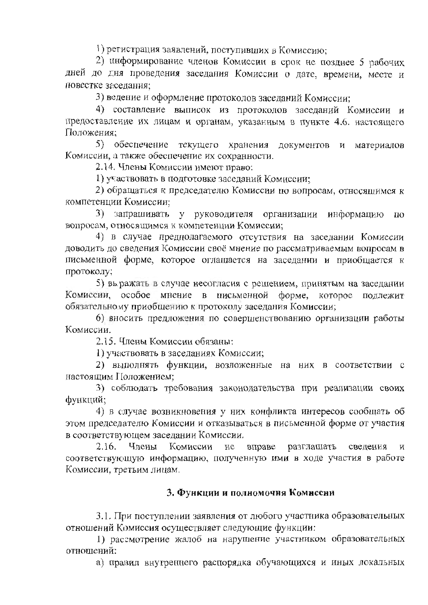1) регистрация заявлений, поступивших в Комиссию;

2) информирование членов Комиссии в срок не позднее 5 рабочих дней до дня проведения заседания Комиссии о дате, времени, месте и повестке заселания:

3) ведение и оформление протоколов заседаний Комиссии:

4) составление выписок из протоколов заседаний Комиссии и предоставление их лицам и органам, указанным в пункте 4.6. настоящего Положения:

5) обеспечение текущего хранения документов и материалов Комиссии, а также обеспечение их сохранности.

2.14. Члены Комиссии имеют право:

1) участвовать в подготовке заседаний Комиссии:

2) обращаться к председателю Комиссии по вопросам, относящимся к компетенции Комиссии:

3) запрашивать у руководителя организации информацию  $\overline{10}$ вопросам, относящимся к компетенции Комиссии;

4) в случае предполагаемого отсутствия на заседании Комиссии доводить до сведения Комиссии своё мнение по рассматриваемым вопросам в письменной форме, которое оглашается на заседании и приобщается к протоколу;

5) выражать в случае несогласия с решением, принятым на заседании Комиссии, особое мнение в письменной форме, которое подлежит обязательному приобщению к протоколу заседания Комиссии;

6) вносить предложения по совершенствованию организации работы Комиссии.

2.15. Члены Комиссии обязаны:

1) участвовать в заседаниях Комиссии;

2) выполнять функции, возложенные на них в соответствии с настоящим Положением;

3) соблюдать требования законодательства при реализации своих функций;

4) в случае возникновения у них конфликта интересов сообщать об этом председателю Комиссии и отказываться в письменной форме от участия в соответствующем заседании Комиссии.

Члены Комиссии не  $2.16.$ вправе разглашать сведения И соответствующую информацию, полученную ими в ходе участия в работе Комиссии, третьим лицам.

### 3. Функции и полномочия Комиссни

3.1. При поступлении заявления от любого участника образовательных отношений Комиссия осуществляет следующие функции:

1) рассмотрение жалоб на нарушение участником образовательных отношений:

а) правил внутреннего распорядка обучающихся и иных локальных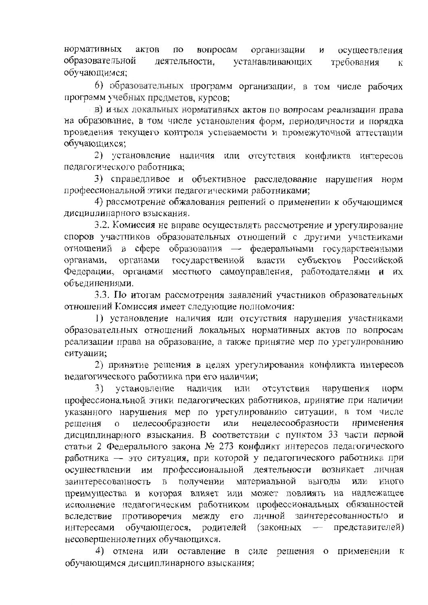нормативных актов вопросам ПО организации осуществления N образовательной деятельности. устанавливающих требования К обучающимся:

6) образовательных программ организации, в том числе рабочих программ учебных предметов, курсов;

в) и ных локальных нормативных актов по вопросам реализации права на образование, в том числе установления форм, периодичности и порядка проведения текущего контроля успеваемости и промежуточной аттестации обучающихся;

2) установление наличия или отсутствия конфликта интересов педагогического работника;

3) справедливое и объективное расследование нарушения норм профессиональной этики педагогическими работниками;

4) рассмотрение обжалования решений о применении к обучающимся дисциплинарного взыскания.

3.2. Комиссия не вправе осуществлять рассмотрение и урегулирование споров участников образовательных отношений с другими участниками отношений в сфере образования — федеральными государственными государственной власти субъектов Российской органами, органами Федерации, органами местного самоуправления, работодателями и их объединениями.

3.3. По итогам рассмотрения заявлений участников образовательных отношений Комиссия имеет следующие полномочия:

1) установление наличия или отсутствия нарушения участниками образовательных отношений локальных нормативных актов по вопросам реализации права на образование, а также принятие мер по урегулированию ситуации;

2) принятие решения в целях урегулирования конфликта интересов педагогического работника при его наличии;

 $3)$ установление наличия или отсутствия нарушения норм профессиональной этики педагогических работников, принятие при наличии указанного нарушения мер по урегулированию ситуации, в том числе нецелесообразности целесообразности или применения решения  $\overline{O}$ дисциплинарного взыскания. В соответствии с пунктом 33 части первой статьи 2 Федерального закона № 273 конфликт интересов педагогического работника - это ситуация, при которой у педагогического работника при профессиональной деятельности осуществлении им возникает личная заинтересованность получении материальной  $\mathbf{B}$ выгоды или иного преимущества и которая влияет или может повлиять на надлежащее исполнение педагогическим работником профессиональных обязанностей вследствие противоречия между его личной заинтересованностью  $\mathbf{M}$ обучающегося, родителей (законных - представителей) интересами несовершеннолетних обучающихся.

4) отмена или оставление в силе решения о применении к обучающимся дисциплинарного взыскания;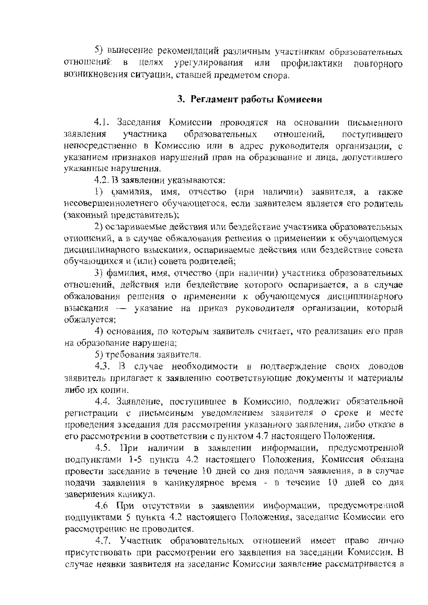5) вынесение рекомендаций различным участникам образовательных отношений в целях урегулирования или профилактики повторного возникновения ситуации, ставшей предметом спора.

## 3. Регламент работы Комиссии

4.1. Заседания Комиссии проводятся на основании письменного заявления участника образовательных отношений. поступившего непосредственно в Комиссию или в адрес руководителя организации, с указанием признаков нарушений прав на образование и лица, допустившего указанные нарушения.

4.2. В заявлении указываются:

1) срамилия, имя, отчество (при наличии) заявителя, а также несовершеннолетнего обучающегося, если заявителем является его родитель (законный представитель);

2) ослариваемые действия или бездействие участника образовательных отношений, а в случае обжалования решения о применении к обучающемуся дисциплинарного взыскания, оспариваемые действия или бездействие совета обучающихся и (или) совета родителей;

3) фамилия, имя, отчество (при наличии) участника образовательных отношений, действия или бездействие которого оспаривается, а в случае обжалования решения о применении к обучающемуся дисциплинарного взыскания -- указание на приказ руководителя организации, который обжалуется;

4) основания, по которым заявитель считает, что реализация его прав на образование нарушена:

5) требования заявителя.

4.3. В случае необходимости в подтверждение своих доводов заявитель прилагает к заявлению соответствующие документы и материалы либо их копии.

4.4. Заявление, поступившее в Комиссию, подлежит обязательной регистрации с письмеиным уведомлением заявителя о сроке и месте проведения заседания для рассмотрения указанного заявления, либо отказе в его рассмотрении в соответствии с пунктом 4.7 настоящего Положения.

4.5. При наличии в заявлении информации, предусмотренной подпунктами 1-5 пункта 4.2 настоящего Положения, Комиссия обязана провести заседание в течение 10 дней со дня подачи заявления, а в случае подачи заявления в каникулярное время - в течение 10 дней со дня завершения каникул.

4.6 При отсутствии в заявлении информации, предусмотренной подпунктами 5 пункта 4.2 настоящего Положения, заседание Комиссии его рассмотрению не проводится.

4.7. Участник образовательных отношений имеет право лично присутствовать при рассмотрении его заявления на заседании Комиссии. В случае неявки заявителя на заседание Комиссии заявление рассматривается в